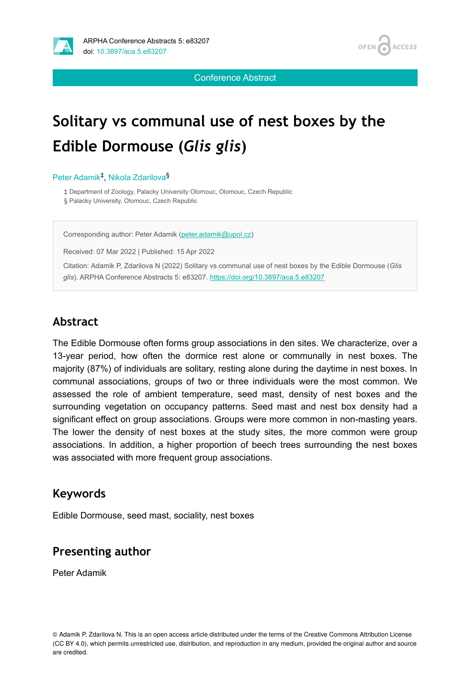



Conference Abstract

# **Solitary vs communal use of nest boxes by the Edible Dormouse (***Glis glis***)**

#### Peter Adamik<sup>‡</sup>, Nikola Zdarilova<sup>§</sup>

‡ Department of Zoology, Palacky University Olomouc, Olomouc, Czech Republic § Palacky University, Olomouc, Czech Republic

Corresponding author: Peter Adamik [\(peter.adamik@upol.cz\)](mailto:peter.adamik@upol.cz)

Received: 07 Mar 2022 | Published: 15 Apr 2022

Citation: Adamik P, Zdarilova N (2022) Solitary vs communal use of nest boxes by the Edible Dormouse (*Glis glis*). ARPHA Conference Abstracts 5: e83207. <https://doi.org/10.3897/aca.5.e83207>

### **Abstract**

The Edible Dormouse often forms group associations in den sites. We characterize, over a 13-year period, how often the dormice rest alone or communally in nest boxes. The majority (87%) of individuals are solitary, resting alone during the daytime in nest boxes. In communal associations, groups of two or three individuals were the most common. We assessed the role of ambient temperature, seed mast, density of nest boxes and the surrounding vegetation on occupancy patterns. Seed mast and nest box density had a significant effect on group associations. Groups were more common in non-masting years. The lower the density of nest boxes at the study sites, the more common were group associations. In addition, a higher proportion of beech trees surrounding the nest boxes was associated with more frequent group associations.

#### **Keywords**

Edible Dormouse, seed mast, sociality, nest boxes

### **Presenting author**

Peter Adamik